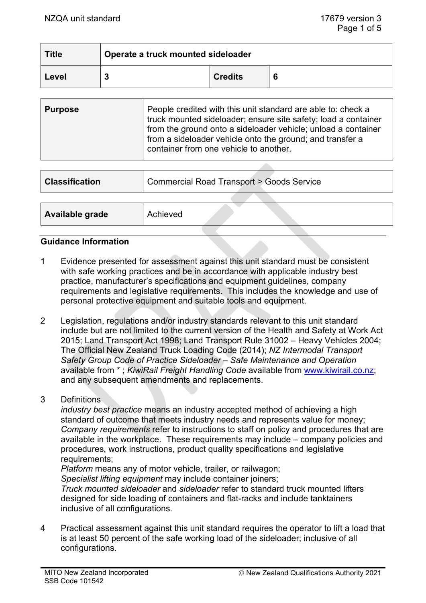| <b>Title</b> | Operate a truck mounted sideloader |                |   |
|--------------|------------------------------------|----------------|---|
| Level        |                                    | <b>Credits</b> | 6 |

| <b>Purpose</b> | People credited with this unit standard are able to: check a<br>truck mounted sideloader; ensure site safety; load a container<br>from the ground onto a sideloader vehicle; unload a container<br>from a sideloader vehicle onto the ground; and transfer a<br>container from one vehicle to another. |
|----------------|--------------------------------------------------------------------------------------------------------------------------------------------------------------------------------------------------------------------------------------------------------------------------------------------------------|
|----------------|--------------------------------------------------------------------------------------------------------------------------------------------------------------------------------------------------------------------------------------------------------------------------------------------------------|

| <b>Classification</b>  | <b>Commercial Road Transport &gt; Goods Service</b> |  |  |  |
|------------------------|-----------------------------------------------------|--|--|--|
|                        |                                                     |  |  |  |
| <b>Available grade</b> | Achieved                                            |  |  |  |

### **Guidance Information**

- 1 Evidence presented for assessment against this unit standard must be consistent with safe working practices and be in accordance with applicable industry best practice, manufacturer's specifications and equipment guidelines, company requirements and legislative requirements. This includes the knowledge and use of personal protective equipment and suitable tools and equipment.
- 2 Legislation, regulations and/or industry standards relevant to this unit standard include but are not limited to the current version of the Health and Safety at Work Act 2015; Land Transport Act 1998; Land Transport Rule 31002 – Heavy Vehicles 2004; The Official New Zealand Truck Loading Code (2014); *NZ Intermodal Transport Safety Group Code of Practice Sideloader – Safe Maintenance and Operation* available from \* ; *KiwiRail Freight Handling Code* available from [www.kiwirail.co.nz;](https://mitonewzealand.sharepoint.com/sites/QualificationsDeveloper/Shared%20Documents/2%20US%20Under%20Development%20or%20Review/RTF%20-%20Sideloader%20Scoping%20Exercise/www.kiwirail.co.nz) and any subsequent amendments and replacements.
- 3 Definitions

*industry best practice* means an industry accepted method of achieving a high standard of outcome that meets industry needs and represents value for money; *Company requirements* refer to instructions to staff on policy and procedures that are available in the workplace. These requirements may include – company policies and procedures, work instructions, product quality specifications and legislative requirements;

*Platform* means any of motor vehicle, trailer, or railwagon;

*Specialist lifting equipment* may include container joiners;

*Truck mounted sideloader* and *sideloader* refer to standard truck mounted lifters designed for side loading of containers and flat-racks and include tanktainers inclusive of all configurations.

4 Practical assessment against this unit standard requires the operator to lift a load that is at least 50 percent of the safe working load of the sideloader; inclusive of all configurations.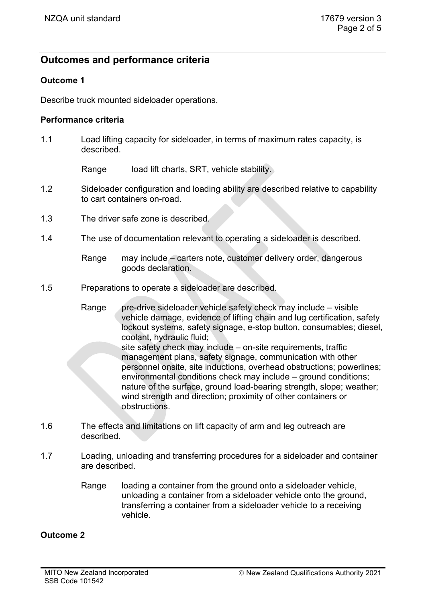# **Outcomes and performance criteria**

# **Outcome 1**

Describe truck mounted sideloader operations.

#### **Performance criteria**

1.1 Load lifting capacity for sideloader, in terms of maximum rates capacity, is described.

Range load lift charts, SRT, vehicle stability.

- 1.2 Sideloader configuration and loading ability are described relative to capability to cart containers on-road.
- 1.3 The driver safe zone is described.
- 1.4 The use of documentation relevant to operating a sideloader is described.
	- Range may include carters note, customer delivery order, dangerous goods declaration.
- 1.5 Preparations to operate a sideloader are described.
	- Range pre-drive sideloader vehicle safety check may include visible vehicle damage, evidence of lifting chain and lug certification, safety lockout systems, safety signage, e-stop button, consumables; diesel, coolant, hydraulic fluid;
		- site safety check may include on-site requirements, traffic management plans, safety signage, communication with other personnel onsite, site inductions, overhead obstructions; powerlines; environmental conditions check may include – ground conditions; nature of the surface, ground load-bearing strength, slope; weather; wind strength and direction; proximity of other containers or obstructions.
- 1.6 The effects and limitations on lift capacity of arm and leg outreach are described.
- 1.7 Loading, unloading and transferring procedures for a sideloader and container are described.
	- Range loading a container from the ground onto a sideloader vehicle, unloading a container from a sideloader vehicle onto the ground, transferring a container from a sideloader vehicle to a receiving vehicle.

### **Outcome 2**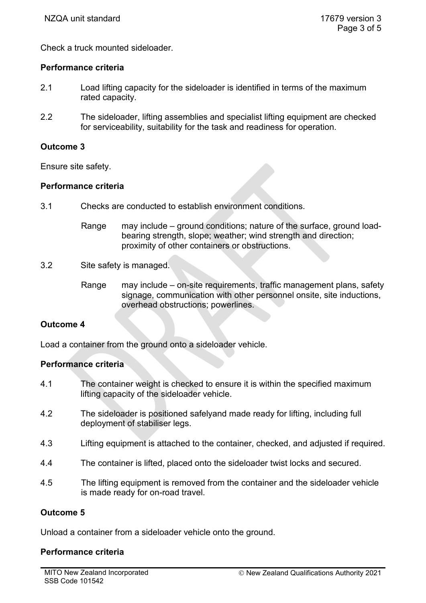Check a truck mounted sideloader.

### **Performance criteria**

- 2.1 Load lifting capacity for the sideloader is identified in terms of the maximum rated capacity.
- 2.2 The sideloader, lifting assemblies and specialist lifting equipment are checked for serviceability, suitability for the task and readiness for operation.

# **Outcome 3**

Ensure site safety.

# **Performance criteria**

- 3.1 Checks are conducted to establish environment conditions.
	- Range may include ground conditions; nature of the surface, ground loadbearing strength, slope; weather; wind strength and direction; proximity of other containers or obstructions.
- 3.2 Site safety is managed.
	- Range may include on-site requirements, traffic management plans, safety signage, communication with other personnel onsite, site inductions, overhead obstructions; powerlines.

# **Outcome 4**

Load a container from the ground onto a sideloader vehicle.

# **Performance criteria**

- 4.1 The container weight is checked to ensure it is within the specified maximum lifting capacity of the sideloader vehicle.
- 4.2 The sideloader is positioned safelyand made ready for lifting, including full deployment of stabiliser legs.
- 4.3 Lifting equipment is attached to the container, checked, and adjusted if required.
- 4.4 The container is lifted, placed onto the sideloader twist locks and secured.
- 4.5 The lifting equipment is removed from the container and the sideloader vehicle is made ready for on-road travel.

### **Outcome 5**

Unload a container from a sideloader vehicle onto the ground.

# **Performance criteria**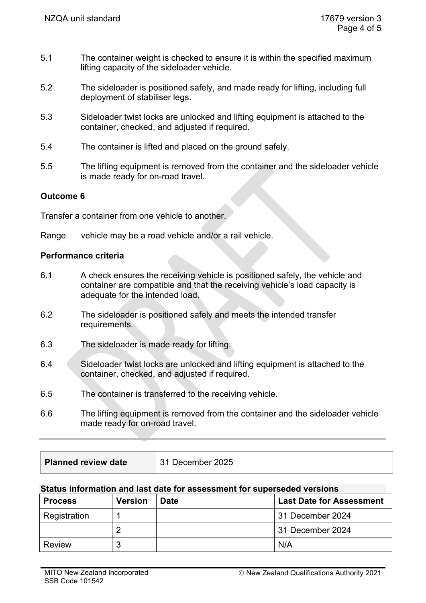- 5.1 The container weight is checked to ensure it is within the specified maximum lifting capacity of the sideloader vehicle.
- 5.2 The sideloader is positioned safely, and made ready for lifting, including full deployment of stabiliser legs.
- 5.3 Sideloader twist locks are unlocked and lifting equipment is attached to the container, checked, and adjusted if required.
- 5.4 The container is lifted and placed on the ground safely.
- 5.5 The lifting equipment is removed from the container and the sideloader vehicle is made ready for on-road travel.

# **Outcome 6**

Transfer a container from one vehicle to another.

Range vehicle may be a road vehicle and/or a rail vehicle.

### **Performance criteria**

- 6.1 A check ensures the receiving vehicle is positioned safely, the vehicle and container are compatible and that the receiving vehicle's load capacity is adequate for the intended load.
- 6.2 The sideloader is positioned safely and meets the intended transfer requirements.
- 6.3 The sideloader is made ready for lifting.
- 6.4 Sideloader twist locks are unlocked and lifting equipment is attached to the container, checked, and adjusted if required.
- 6.5 The container is transferred to the receiving vehicle.
- 6.6 The lifting equipment is removed from the container and the sideloader vehicle made ready for on-road travel.

### **Status information and last date for assessment for superseded versions**

| <b>Process</b> | <b>Version</b> | <b>Date</b> | <b>Last Date for Assessment</b> |
|----------------|----------------|-------------|---------------------------------|
| Registration   |                |             | 31 December 2024                |
|                |                |             | 31 December 2024                |
| <b>Review</b>  |                |             | N/A                             |